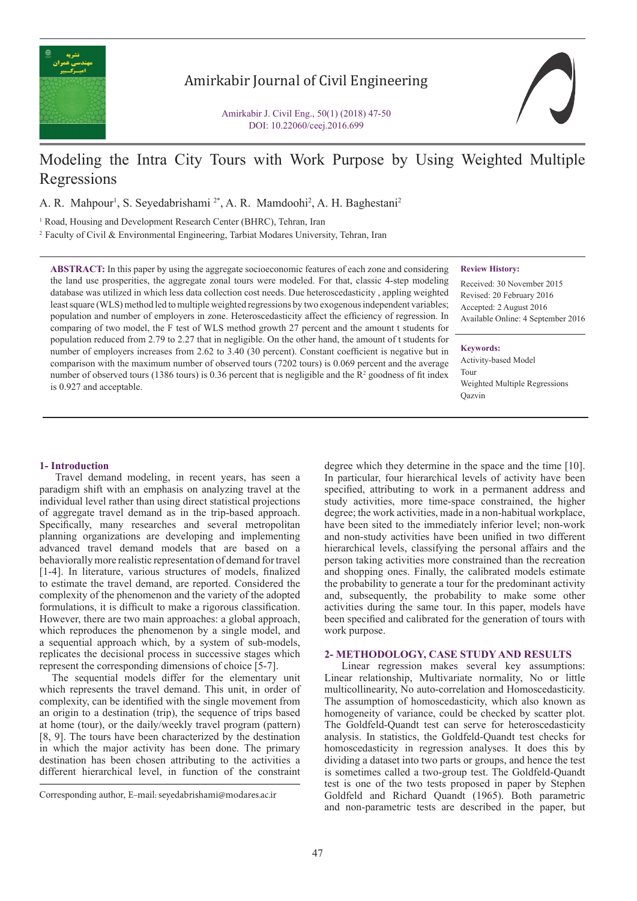

## Amirkabir Journal of Civil Engineering

Amirkabir J. Civil Eng., 50(1) (2018) 47-50 DOI: 10.22060/ceej.2016.699

# Modeling the Intra City Tours with Work Purpose by Using Weighted Multiple Regressions

A. R. Mahpour<sup>1</sup>, S. Seyedabrishami<sup>2\*</sup>, A. R. Mamdoohi<sup>2</sup>, A. H. Baghestani<sup>2</sup>

<sup>1</sup> Road, Housing and Development Research Center (BHRC), Tehran, Iran

2 Faculty of Civil & Environmental Engineering, Tarbiat Modares University, Tehran, Iran

**ABSTRACT:** In this paper by using the aggregate socioeconomic features of each zone and considering the land use prosperities, the aggregate zonal tours were modeled. For that, classic 4-step modeling database was utilized in which less data collection cost needs. Due heteroscedasticity , appling weighted least square (WLS) method led to multiple weighted regressions by two exogenous independent variables; population and number of employers in zone. Heteroscedasticity affect the efficiency of regression. In comparing of two model, the F test of WLS method growth 27 percent and the amount t students for population reduced from 2.79 to 2.27 that in negligible. On the other hand, the amount of t students for number of employers increases from 2.62 to 3.40 (30 percent). Constant coefficient is negative but in comparison with the maximum number of observed tours (7202 tours) is 0.069 percent and the average number of observed tours (1386 tours) is 0.36 percent that is negligible and the  $R^2$  goodness of fit index is 0.927 and acceptable.

#### **Review History:**

Received: 30 November 2015 Revised: 20 February 2016 Accepted: 2 August 2016 Available Online: 4 September 2016

#### **Keywords:**

Activity-based Model Tour Weighted Multiple Regressions **Oazvin** 

## **1- Introduction**

 Travel demand modeling, in recent years, has seen a paradigm shift with an emphasis on analyzing travel at the individual level rather than using direct statistical projections of aggregate travel demand as in the trip-based approach. Specifically, many researches and several metropolitan planning organizations are developing and implementing advanced travel demand models that are based on a behaviorally more realistic representation of demand for travel [1-4]. In literature, various structures of models, finalized to estimate the travel demand, are reported. Considered the complexity of the phenomenon and the variety of the adopted formulations, it is difficult to make a rigorous classification. However, there are two main approaches: a global approach, which reproduces the phenomenon by a single model, and a sequential approach which, by a system of sub-models, replicates the decisional process in successive stages which represent the corresponding dimensions of choice [5-7].

 The sequential models differ for the elementary unit which represents the travel demand. This unit, in order of complexity, can be identified with the single movement from an origin to a destination (trip), the sequence of trips based at home (tour), or the daily/weekly travel program (pattern) [8, 9]. The tours have been characterized by the destination in which the major activity has been done. The primary destination has been chosen attributing to the activities a different hierarchical level, in function of the constraint

degree which they determine in the space and the time [10]. In particular, four hierarchical levels of activity have been specified, attributing to work in a permanent address and study activities, more time-space constrained, the higher degree; the work activities, made in a non-habitual workplace, have been sited to the immediately inferior level; non-work and non-study activities have been unified in two different hierarchical levels, classifying the personal affairs and the person taking activities more constrained than the recreation and shopping ones. Finally, the calibrated models estimate the probability to generate a tour for the predominant activity and, subsequently, the probability to make some other activities during the same tour. In this paper, models have been specified and calibrated for the generation of tours with work purpose.

#### **2- METHODOLOGY, CASE STUDY AND RESULTS**

 Linear regression makes several key assumptions: Linear relationship, Multivariate normality, No or little multicollinearity, No auto-correlation and Homoscedasticity. The assumption of homoscedasticity, which also known as homogeneity of variance, could be checked by scatter plot. The Goldfeld-Quandt test can serve for heteroscedasticity analysis. In statistics, the Goldfeld-Quandt test checks for homoscedasticity in regression analyses. It does this by dividing a dataset into two parts or groups, and hence the test is sometimes called a two-group test. The Goldfeld-Quandt test is one of the two tests proposed in paper by Stephen Goldfeld and Richard Quandt (1965). Both parametric and non-parametric tests are described in the paper, but

Corresponding author, E-mail: seyedabrishami@modares.ac.ir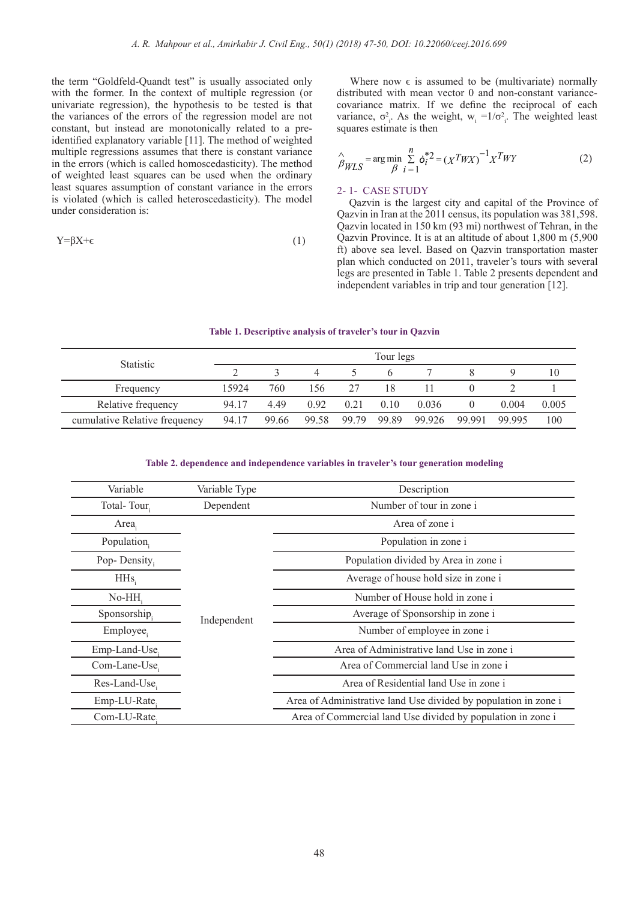the term "Goldfeld-Quandt test" is usually associated only with the former. In the context of multiple regression (or univariate regression), the hypothesis to be tested is that the variances of the errors of the regression model are not constant, but instead are monotonically related to a preidentified explanatory variable [11]. The method of weighted multiple regressions assumes that there is constant variance in the errors (which is called homoscedasticity). The method of weighted least squares can be used when the ordinary least squares assumption of constant variance in the errors is violated (which is called heteroscedasticity). The model under consideration is:

$$
Y = \beta X + \epsilon \tag{1}
$$

Where now  $\epsilon$  is assumed to be (multivariate) normally distributed with mean vector 0 and non-constant variancecovariance matrix. If we define the reciprocal of each variance,  $\sigma_i^2$ . As the weight,  $w_i = 1/\sigma_i^2$ . The weighted least squares estimate is then

$$
\hat{\beta}_{WLS} = \arg\min_{\beta} \sum_{i=1}^{n} \dot{\sigma}_i^*{}^2 = (X^T W X)^{-1} X^T W Y \tag{2}
$$

#### 2- 1- CASE STUDY

 Qazvin is the largest city and capital of the Province of Qazvin in Iran at the 2011 census, its population was 381,598. Qazvin located in 150 km (93 mi) northwest of Tehran, in the Qazvin Province. It is at an altitude of about 1,800 m (5,900 ft) above sea level. Based on Qazvin transportation master plan which conducted on 2011, traveler's tours with several legs are presented in Table 1. Table 2 presents dependent and independent variables in trip and tour generation [12].

#### **Table 1. Descriptive analysis of traveler's tour in Qazvin**

| <b>Statistic</b>              | Tour legs |       |       |       |       |        |        |        |       |
|-------------------------------|-----------|-------|-------|-------|-------|--------|--------|--------|-------|
|                               |           |       |       |       |       |        |        |        | 10    |
| Frequency                     | 15924     | 760   | 156   | 27    | 18    |        |        |        |       |
| Relative frequency            | 94.17     | 449   | 0.92  | 0.21  | 0.10  | 0.036  |        | 0.004  | 0.005 |
| cumulative Relative frequency | 94.17     | 99.66 | 99.58 | 99.79 | 99.89 | 99.926 | 99 991 | 99 995 | 100   |

## **Table 2. dependence and independence variables in traveler's tour generation modeling**

| Variable      | Variable Type | Description                                                     |  |  |  |  |
|---------------|---------------|-----------------------------------------------------------------|--|--|--|--|
| Total-Tour    | Dependent     | Number of tour in zone i                                        |  |  |  |  |
| Area.         |               | Area of zone i                                                  |  |  |  |  |
| Population.   |               | Population in zone i                                            |  |  |  |  |
| Pop-Density,  |               | Population divided by Area in zone i                            |  |  |  |  |
| $H$ Hs        |               | Average of house hold size in zone i                            |  |  |  |  |
| No-HH.        | Independent   | Number of House hold in zone i                                  |  |  |  |  |
| Sponsorship.  |               | Average of Sponsorship in zone i                                |  |  |  |  |
| Employee.     |               | Number of employee in zone i                                    |  |  |  |  |
| Emp-Land-Use. |               | Area of Administrative land Use in zone i                       |  |  |  |  |
| Com-Lane-Use, |               | Area of Commercial land Use in zone i                           |  |  |  |  |
| Res-Land-Use. |               | Area of Residential land Use in zone i                          |  |  |  |  |
| Emp-LU-Rate   |               | Area of Administrative land Use divided by population in zone i |  |  |  |  |
| Com-LU-Rate.  |               | Area of Commercial land Use divided by population in zone i     |  |  |  |  |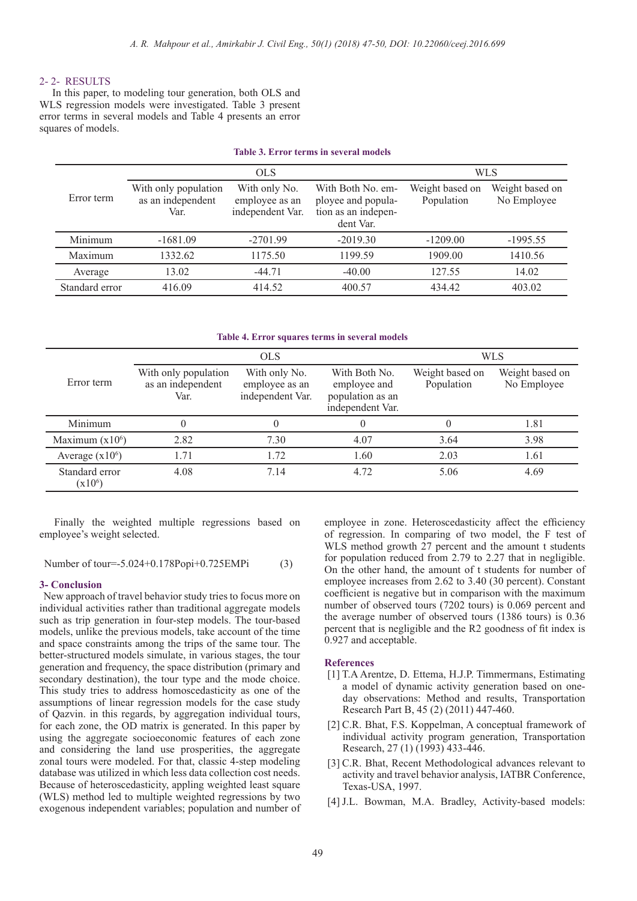## 2- 2- RESULTS

 In this paper, to modeling tour generation, both OLS and WLS regression models were investigated. Table 3 present error terms in several models and Table 4 presents an error squares of models.

| TADIE 3. DITOF TEFHIS III SEVET AL HIOUEIS |                                                   |                                                     |                                                                             |                               |                                |  |  |  |
|--------------------------------------------|---------------------------------------------------|-----------------------------------------------------|-----------------------------------------------------------------------------|-------------------------------|--------------------------------|--|--|--|
|                                            |                                                   | <b>OLS</b>                                          | <b>WLS</b>                                                                  |                               |                                |  |  |  |
| Error term                                 | With only population<br>as an independent<br>Var. | With only No.<br>employee as an<br>independent Var. | With Both No. em-<br>ployee and popula-<br>tion as an indepen-<br>dent Var. | Weight based on<br>Population | Weight based on<br>No Employee |  |  |  |
| Minimum                                    | $-1681.09$                                        | $-2701.99$                                          | $-2019.30$                                                                  | $-1209.00$                    | $-1995.55$                     |  |  |  |
| Maximum                                    | 1332.62                                           | 1175.50                                             | 1199.59                                                                     | 1909.00                       | 1410.56                        |  |  |  |
| Average                                    | 13.02                                             | $-44.71$                                            | $-40.00$                                                                    | 127.55                        | 14.02                          |  |  |  |
| Standard error                             | 416.09                                            | 414.52                                              | 400.57                                                                      | 434.42                        | 403.02                         |  |  |  |

## **Table 3. Error terms in several models**

#### **Table 4. Error squares terms in several models**

|                             |                                                   | <b>OLS</b>                                          | <b>WLS</b>                                                            |                               |                                |
|-----------------------------|---------------------------------------------------|-----------------------------------------------------|-----------------------------------------------------------------------|-------------------------------|--------------------------------|
| Error term                  | With only population<br>as an independent<br>Var. | With only No.<br>employee as an<br>independent Var. | With Both No.<br>employee and<br>population as an<br>independent Var. | Weight based on<br>Population | Weight based on<br>No Employee |
| Minimum                     |                                                   | 0                                                   | $\theta$                                                              |                               | 1.81                           |
| Maximum $(x106)$            | 2.82                                              | 7.30                                                | 4.07                                                                  | 3.64                          | 3.98                           |
| Average $(x10^6)$           | 1.71                                              | 1.72                                                | 1.60                                                                  | 2.03                          | 1.61                           |
| Standard error<br>$(x10^6)$ | 4.08                                              | 7.14                                                | 4.72                                                                  | 5.06                          | 4.69                           |

 Finally the weighted multiple regressions based on employee's weight selected.

Number of tour=-5.024+0.178Popi+0.725EMPi (3)

#### **3- Conclusion**

 New approach of travel behavior study tries to focus more on individual activities rather than traditional aggregate models such as trip generation in four-step models. The tour-based models, unlike the previous models, take account of the time and space constraints among the trips of the same tour. The better-structured models simulate, in various stages, the tour generation and frequency, the space distribution (primary and secondary destination), the tour type and the mode choice. This study tries to address homoscedasticity as one of the assumptions of linear regression models for the case study of Qazvin. in this regards, by aggregation individual tours, for each zone, the OD matrix is generated. In this paper by using the aggregate socioeconomic features of each zone and considering the land use prosperities, the aggregate zonal tours were modeled. For that, classic 4-step modeling database was utilized in which less data collection cost needs. Because of heteroscedasticity, appling weighted least square (WLS) method led to multiple weighted regressions by two exogenous independent variables; population and number of

employee in zone. Heteroscedasticity affect the efficiency of regression. In comparing of two model, the F test of WLS method growth 27 percent and the amount t students for population reduced from 2.79 to 2.27 that in negligible. On the other hand, the amount of t students for number of employee increases from 2.62 to 3.40 (30 percent). Constant coefficient is negative but in comparison with the maximum number of observed tours (7202 tours) is 0.069 percent and the average number of observed tours (1386 tours) is 0.36 percent that is negligible and the R2 goodness of fit index is 0.927 and acceptable.

## **References**

- [1] T.A Arentze, D. Ettema, H.J.P. Timmermans, Estimating a model of dynamic activity generation based on oneday observations: Method and results, Transportation Research Part B, 45 (2) (2011) 447-460.
- [2] C.R. Bhat, F.S. Koppelman, A conceptual framework of individual activity program generation, Transportation Research, 27 (1) (1993) 433-446.
- [3] C.R. Bhat, Recent Methodological advances relevant to activity and travel behavior analysis, IATBR Conference, Texas-USA, 1997.
- [4] J.L. Bowman, M.A. Bradley, Activity-based models: